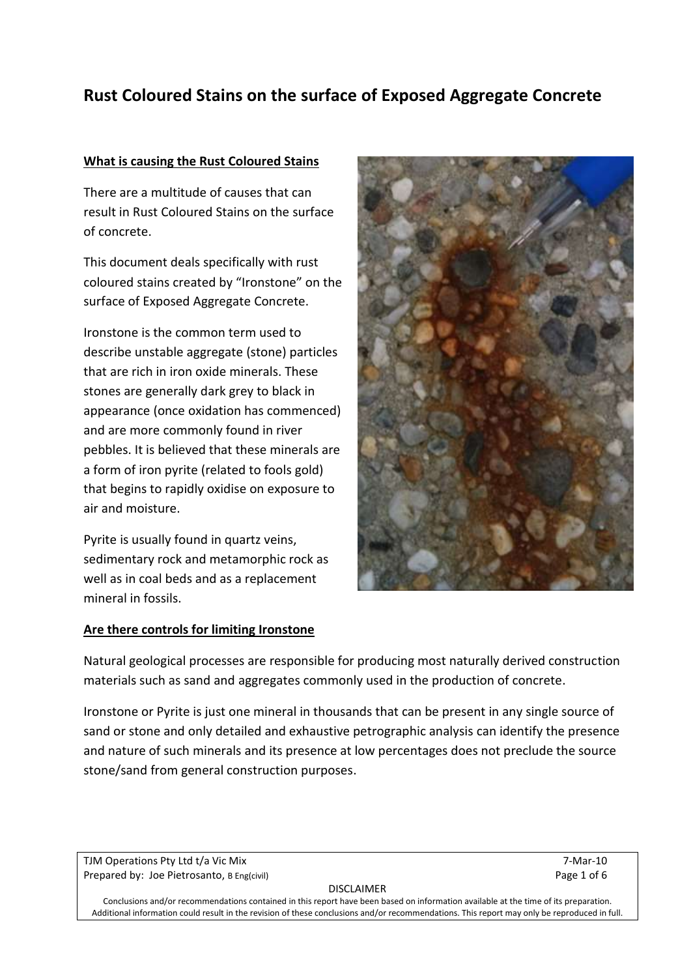# **Rust Coloured Stains on the surface of Exposed Aggregate Concrete**

### **What is causing the Rust Coloured Stains**

There are a multitude of causes that can result in Rust Coloured Stains on the surface of concrete.

This document deals specifically with rust coloured stains created by "Ironstone" on the surface of Exposed Aggregate Concrete.

Ironstone is the common term used to describe unstable aggregate (stone) particles that are rich in iron oxide minerals. These stones are generally dark grey to black in appearance (once oxidation has commenced) and are more commonly found in river pebbles. It is believed that these minerals are a form of iron pyrite (related to fools gold) that begins to rapidly oxidise on exposure to air and moisture.

Pyrite is usually found in quartz veins, sedimentary rock and metamorphic rock as well as in coal beds and as a replacement mineral in fossils.

### **Are there controls for limiting Ironstone**



Natural geological processes are responsible for producing most naturally derived construction materials such as sand and aggregates commonly used in the production of concrete.

Ironstone or Pyrite is just one mineral in thousands that can be present in any single source of sand or stone and only detailed and exhaustive petrographic analysis can identify the presence and nature of such minerals and its presence at low percentages does not preclude the source stone/sand from general construction purposes.

TJM Operations Pty Ltd t/a Vic Mix 7-Mar-10 Prepared by: Joe Pietrosanto, B Eng(civil) Page 1 of 6

DISCLAIMER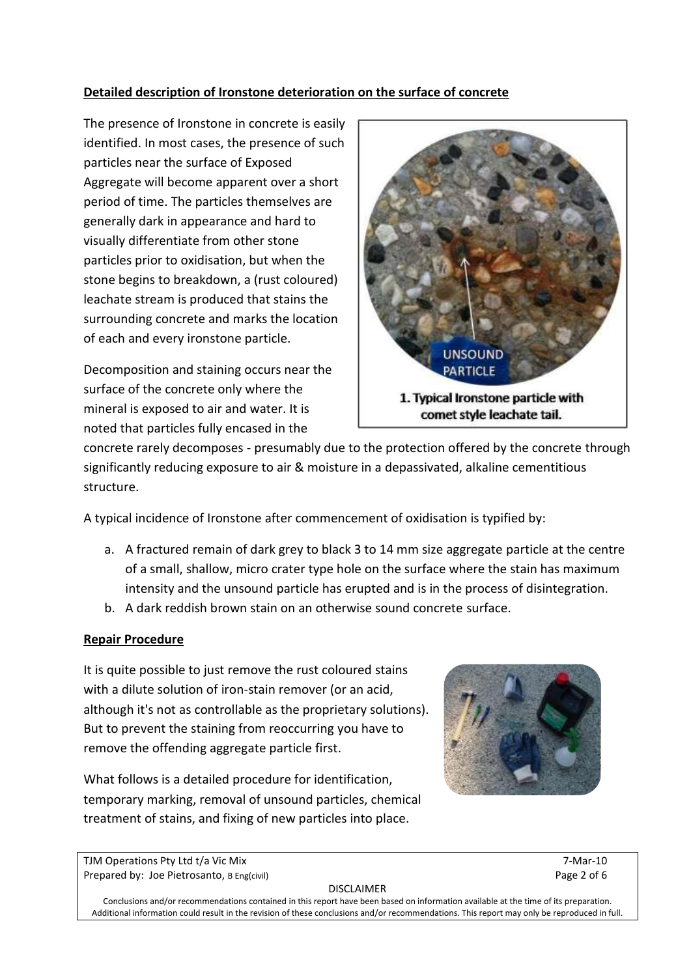# **Detailed description of Ironstone deterioration on the surface of concrete**

The presence of Ironstone in concrete is easily identified. In most cases, the presence of such particles near the surface of Exposed Aggregate will become apparent over a short period of time. The particles themselves are generally dark in appearance and hard to visually differentiate from other stone particles prior to oxidisation, but when the stone begins to breakdown, a (rust coloured) leachate stream is produced that stains the surrounding concrete and marks the location of each and every ironstone particle.

Decomposition and staining occurs near the surface of the concrete only where the mineral is exposed to air and water. It is noted that particles fully encased in the



concrete rarely decomposes - presumably due to the protection offered by the concrete through significantly reducing exposure to air & moisture in a depassivated, alkaline cementitious structure.

A typical incidence of Ironstone after commencement of oxidisation is typified by:

- a. A fractured remain of dark grey to black 3 to 14 mm size aggregate particle at the centre of a small, shallow, micro crater type hole on the surface where the stain has maximum intensity and the unsound particle has erupted and is in the process of disintegration.
- b. A dark reddish brown stain on an otherwise sound concrete surface.

## **Repair Procedure**

It is quite possible to just remove the rust coloured stains with a dilute solution of iron-stain remover (or an acid, although it's not as controllable as the proprietary solutions). But to prevent the staining from reoccurring you have to remove the offending aggregate particle first.

What follows is a detailed procedure for identification, temporary marking, removal of unsound particles, chemical treatment of stains, and fixing of new particles into place.



TJM Operations Pty Ltd t/a Vic Mix 7-Mar-10 Prepared by: Joe Pietrosanto, B Eng(civil) Page 2 of 6

DISCLAIMER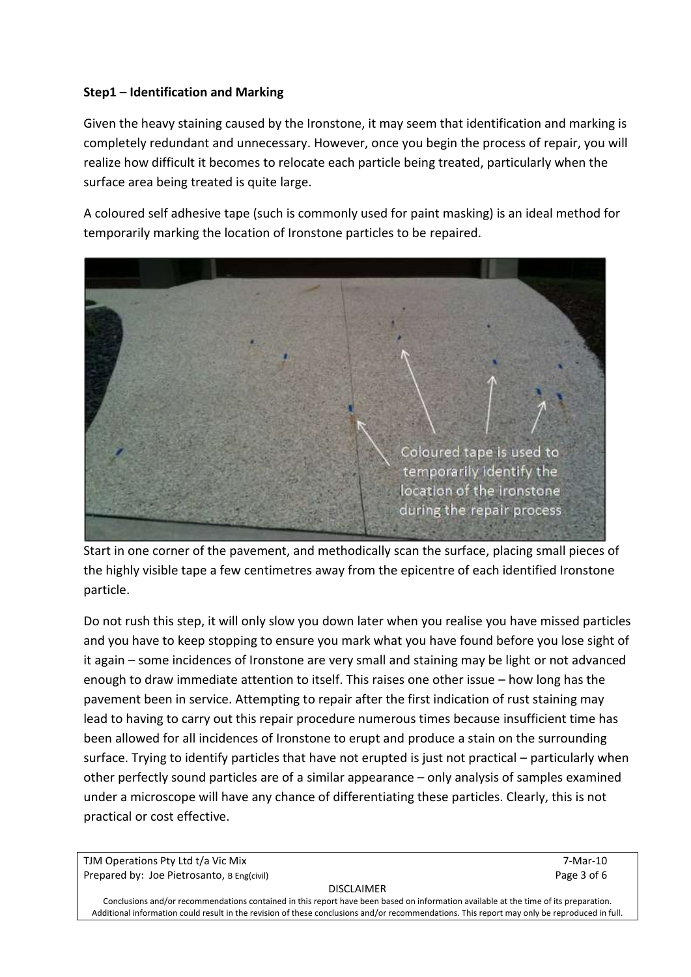## **Step1 – Identification and Marking**

Given the heavy staining caused by the Ironstone, it may seem that identification and marking is completely redundant and unnecessary. However, once you begin the process of repair, you will realize how difficult it becomes to relocate each particle being treated, particularly when the surface area being treated is quite large.

A coloured self adhesive tape (such is commonly used for paint masking) is an ideal method for temporarily marking the location of Ironstone particles to be repaired.



Start in one corner of the pavement, and methodically scan the surface, placing small pieces of the highly visible tape a few centimetres away from the epicentre of each identified Ironstone particle.

Do not rush this step, it will only slow you down later when you realise you have missed particles and you have to keep stopping to ensure you mark what you have found before you lose sight of it again – some incidences of Ironstone are very small and staining may be light or not advanced enough to draw immediate attention to itself. This raises one other issue – how long has the pavement been in service. Attempting to repair after the first indication of rust staining may lead to having to carry out this repair procedure numerous times because insufficient time has been allowed for all incidences of Ironstone to erupt and produce a stain on the surrounding surface. Trying to identify particles that have not erupted is just not practical – particularly when other perfectly sound particles are of a similar appearance – only analysis of samples examined under a microscope will have any chance of differentiating these particles. Clearly, this is not practical or cost effective.

TJM Operations Pty Ltd t/a Vic Mix 7-Mar-10 Prepared by: Joe Pietrosanto, B Eng(civil) Page 3 of 6

#### DISCLAIMER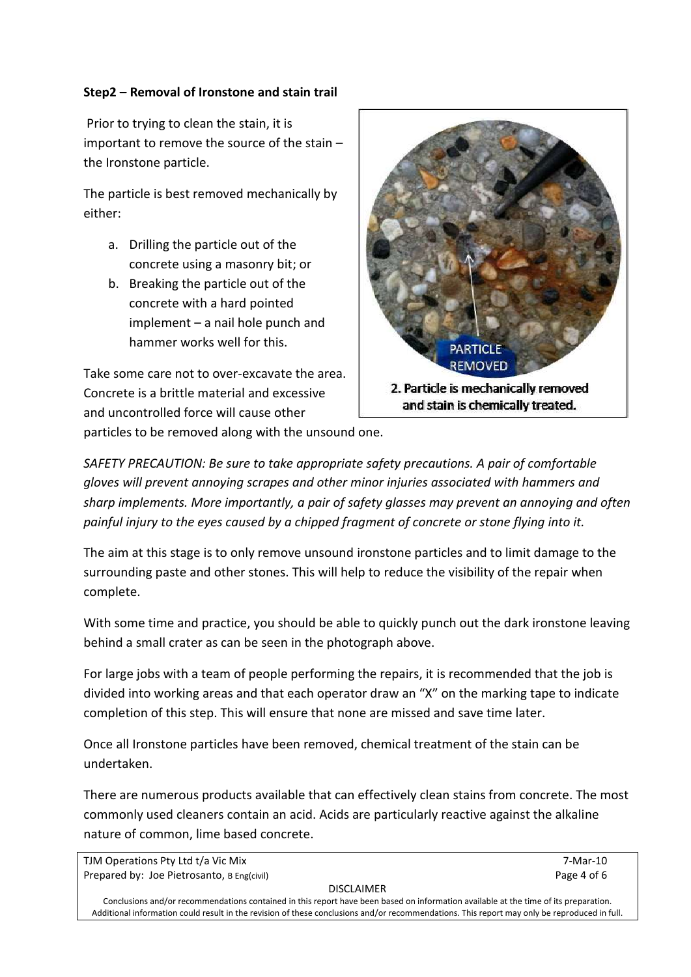# **Step2 – Removal of Ironstone and stain trail**

Prior to trying to clean the stain, it is important to remove the source of the stain – the Ironstone particle.

The particle is best removed mechanically by either:

- a. Drilling the particle out of the concrete using a masonry bit; or
- b. Breaking the particle out of the concrete with a hard pointed implement – a nail hole punch and hammer works well for this.

Take some care not to over-excavate the area. Concrete is a brittle material and excessive and uncontrolled force will cause other



particles to be removed along with the unsound one.

*SAFETY PRECAUTION: Be sure to take appropriate safety precautions. A pair of comfortable gloves will prevent annoying scrapes and other minor injuries associated with hammers and sharp implements. More importantly, a pair of safety glasses may prevent an annoying and often painful injury to the eyes caused by a chipped fragment of concrete or stone flying into it.*

The aim at this stage is to only remove unsound ironstone particles and to limit damage to the surrounding paste and other stones. This will help to reduce the visibility of the repair when complete.

With some time and practice, you should be able to quickly punch out the dark ironstone leaving behind a small crater as can be seen in the photograph above.

For large jobs with a team of people performing the repairs, it is recommended that the job is divided into working areas and that each operator draw an "X" on the marking tape to indicate completion of this step. This will ensure that none are missed and save time later.

Once all Ironstone particles have been removed, chemical treatment of the stain can be undertaken.

There are numerous products available that can effectively clean stains from concrete. The most commonly used cleaners contain an acid. Acids are particularly reactive against the alkaline nature of common, lime based concrete.

DISCLAIMER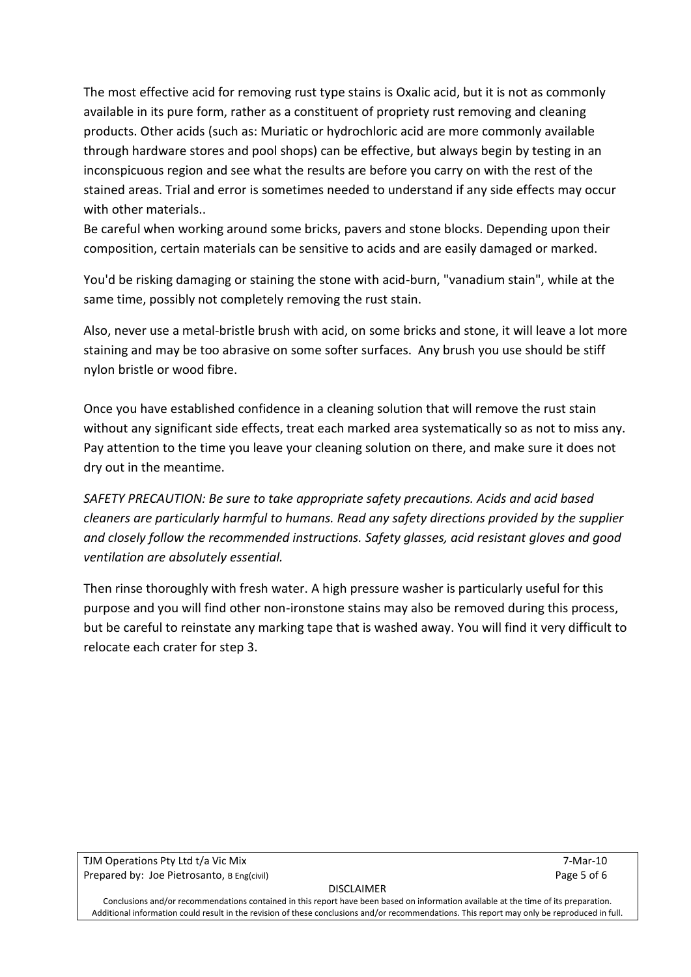The most effective acid for removing rust type stains is Oxalic acid, but it is not as commonly available in its pure form, rather as a constituent of propriety rust removing and cleaning products. Other acids (such as: Muriatic or hydrochloric acid are more commonly available through hardware stores and pool shops) can be effective, but always begin by testing in an inconspicuous region and see what the results are before you carry on with the rest of the stained areas. Trial and error is sometimes needed to understand if any side effects may occur with other materials..

Be careful when working around some bricks, pavers and stone blocks. Depending upon their composition, certain materials can be sensitive to acids and are easily damaged or marked.

You'd be risking damaging or staining the stone with acid-burn, "vanadium stain", while at the same time, possibly not completely removing the rust stain.

Also, never use a metal-bristle brush with acid, on some bricks and stone, it will leave a lot more staining and may be too abrasive on some softer surfaces. Any brush you use should be stiff nylon bristle or wood fibre.

Once you have established confidence in a cleaning solution that will remove the rust stain without any significant side effects, treat each marked area systematically so as not to miss any. Pay attention to the time you leave your cleaning solution on there, and make sure it does not dry out in the meantime.

*SAFETY PRECAUTION: Be sure to take appropriate safety precautions. Acids and acid based cleaners are particularly harmful to humans. Read any safety directions provided by the supplier and closely follow the recommended instructions. Safety glasses, acid resistant gloves and good ventilation are absolutely essential.*

Then rinse thoroughly with fresh water. A high pressure washer is particularly useful for this purpose and you will find other non-ironstone stains may also be removed during this process, but be careful to reinstate any marking tape that is washed away. You will find it very difficult to relocate each crater for step 3.

TJM Operations Pty Ltd t/a Vic Mix 7-Mar-10 Prepared by: Joe Pietrosanto, B Eng(civil) Page 5 of 6

#### DISCLAIMER